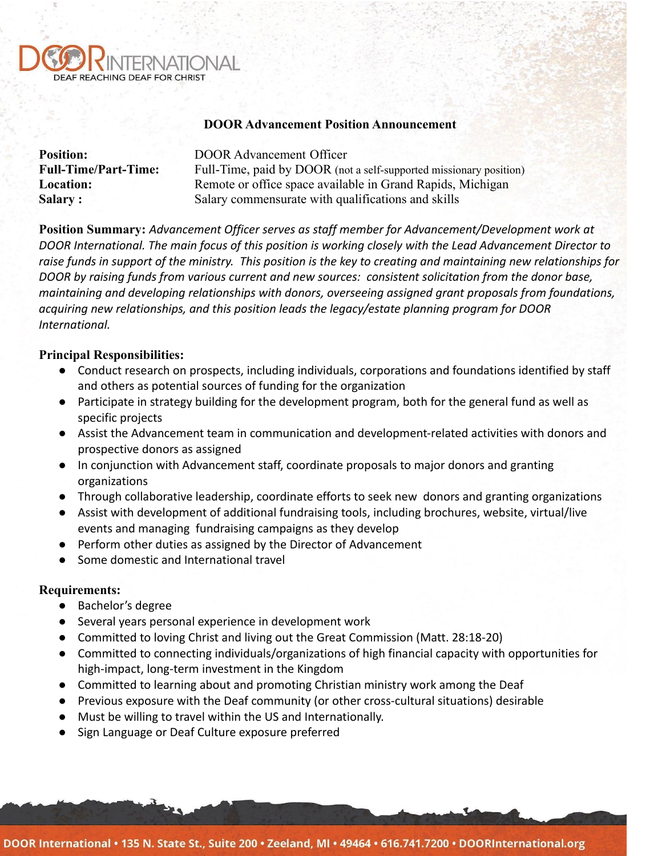

## **DOOR Advancement Position Announcement**

| <b>Position:</b>            | <b>DOOR Advancement Officer</b>                                    |
|-----------------------------|--------------------------------------------------------------------|
| <b>Full-Time/Part-Time:</b> | Full-Time, paid by DOOR (not a self-supported missionary position) |
| <b>Location:</b>            | Remote or office space available in Grand Rapids, Michigan         |
| <b>Salary:</b>              | Salary commensurate with qualifications and skills                 |

**Position Summary:** *Advancement Officer serves as staff member for Advancement/Development work at DOOR International. The main focus of this position is working closely with the Lead Advancement Director to raise funds in support of the ministry. This position is the key to creating and maintaining new relationships for DOOR by raising funds from various current and new sources: consistent solicitation from the donor base, maintaining and developing relationships with donors, overseeing assigned grant proposals from foundations, acquiring new relationships, and this position leads the legacy/estate planning program for DOOR International.*

# **Principal Responsibilities:**

- Conduct research on prospects, including individuals, corporations and foundations identified by staff and others as potential sources of funding for the organization
- Participate in strategy building for the development program, both for the general fund as well as specific projects
- Assist the Advancement team in communication and development-related activities with donors and prospective donors as assigned
- In conjunction with Advancement staff, coordinate proposals to major donors and granting organizations
- Through collaborative leadership, coordinate efforts to seek new donors and granting organizations
- Assist with development of additional fundraising tools, including brochures, website, virtual/live events and managing fundraising campaigns as they develop
- Perform other duties as assigned by the Director of Advancement
- Some domestic and International travel

# **Requirements:**

- Bachelor's degree
- Several years personal experience in development work
- Committed to loving Christ and living out the Great Commission (Matt. 28:18-20)
- Committed to connecting individuals/organizations of high financial capacity with opportunities for high-impact, long-term investment in the Kingdom
- Committed to learning about and promoting Christian ministry work among the Deaf
- Previous exposure with the Deaf community (or other cross-cultural situations) desirable
- Must be willing to travel within the US and Internationally.
- Sign Language or Deaf Culture exposure preferred